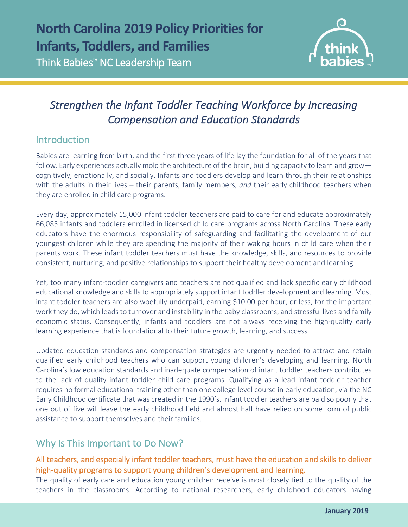

# *Strengthen the Infant Toddler Teaching Workforce by Increasing Compensation and Education Standards*

## Introduction

 $\overline{a}$ 

Babies are learning from birth, and the first three years of life lay the foundation for all of the years that follow. Early experiences actually mold the architecture of the brain, building capacity to learn and grow cognitively, emotionally, and socially. Infants and toddlers develop and learn through their relationships with the adults in their lives – their parents, family members, *and* their early childhood teachers when they are enrolled in child care programs.

Every day, approximately 15,000 infant toddler teachers are paid to care for and educate approximately 66,085 infants and toddlers enrolled in licensed child care programs across North Carolina. These early educators have the enormous responsibility of safeguarding and facilitating the development of our youngest children while they are spending the majority of their waking hours in child care when their parents work. These infant toddler teachers must have the knowledge, skills, and resources to provide consistent, nurturing, and positive relationships to support their healthy development and learning.

Yet, too many infant-toddler caregivers and teachers are not qualified and lack specific early childhood educational knowledge and skills to appropriately support infant toddler development and learning. Most infant toddler teachers are also woefully underpaid, earning \$10.00 per hour, or less, for the important work they do, which leads to turnover and instability in the baby classrooms, and stressful lives and family economic status. Consequently, infants and toddlers are not always receiving the high-quality early learning experience that is foundational to their future growth, learning, and success.

Updated education standards and compensation strategies are urgently needed to attract and retain qualified early childhood teachers who can support young children's developing and learning. North Carolina's low education standards and inadequate compensation of infant toddler teachers contributes to the lack of quality infant toddler child care programs. Qualifying as a lead infant toddler teacher requires no formal educational training other than one college level course in early education, via the NC Early Childhood certificate that was created in the 1990's. Infant toddler teachers are paid so poorly that one out of five will leave the early childhood field and almost half have relied on some form of public assistance to support themselves and their families.

## Why Is This Important to Do Now?

### All teachers, and especially infant toddler teachers, must have the education and skills to deliver high-quality programs to support young children's development and learning.

The quality of early care and education young children receive is most closely tied to the quality of the teachers in the classrooms. According to national researchers, early childhood educators having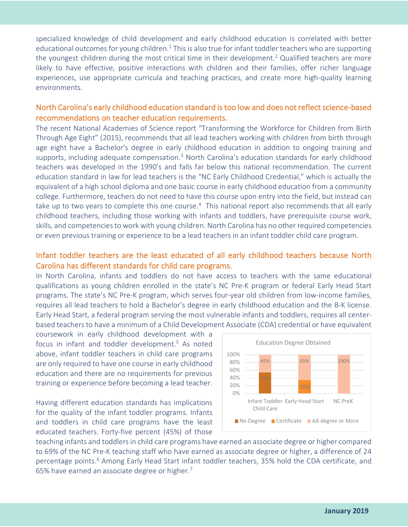specialized knowledge of child development and early childhood education is correlated with better educational outcomes for young children.<sup>1</sup> This is also true for infant toddler teachers who are supporting the youngest children during the most critical time in their development.<sup>2</sup> Qualified teachers are more likely to have effective, positive interactions with children and their families, offer richer language experiences, use appropriate curricula and teaching practices, and create more high-quality learning environments.

#### North Carolina's early childhood education standard is too low and does not reflect science-based recommendations on teacher education requirements.

The recent National Academies of Science report "Transforming the Workforce for Children from Birth Through Age Eight" (2015), recommends that all lead teachers working with children from birth through age eight have a Bachelor's degree in early childhood education in addition to ongoing training and supports, including adequate compensation.<sup>3</sup> North Carolina's education standards for early childhood teachers was developed in the 1990's and falls far below this national recommendation. The current education standard in law for lead teachers is the "NC Early Childhood Credential," which is actually the equivalent of a high school diploma and one basic course in early childhood education from a community college. Furthermore, teachers do not need to have this course upon entry into the field, but instead can take up to two years to complete this one course.<sup>4</sup> This national report also recommends that all early childhood teachers, including those working with infants and toddlers, have prerequisite course work, skills, and competencies to work with young children. North Carolina has no other required competencies or even previous training or experience to be a lead teachers in an infant toddler child care program.

#### Infant toddler teachers are the least educated of all early childhood teachers because North Carolina has different standards for child care programs.

In North Carolina, infants and toddlers do not have access to teachers with the same educational qualifications as young children enrolled in the state's NC Pre-K program or federal Early Head Start programs. The state's NC Pre-K program, which serves four-year old children from low-income families, requires all lead teachers to hold a Bachelor's degree in early childhood education and the B-K license. Early Head Start, a federal program serving the most vulnerable infants and toddlers, requires all centerbased teachers to have a minimum of a Child Development Associate (CDA) credential or have equivalent

coursework in early childhood development with a focus in infant and toddler development.<sup>5</sup> As noted above, infant toddler teachers in child care programs are only required to have one course in early childhood education and there are no requirements for previous training or experience before becoming a lead teacher.

Having different education standards has implications for the quality of the infant toddler programs. Infants and toddlers in child care programs have the least educated teachers. Forty-five percent (45%) of those



teaching infants and toddlers in child care programs have earned an associate degree or higher compared to 69% of the NC Pre-K teaching staff who have earned as associate degree or higher, a difference of 24 percentage points.<sup>6</sup> Among Early Head Start infant toddler teachers, 35% hold the CDA certificate, and 65% have earned an associate degree or higher.<sup>7</sup>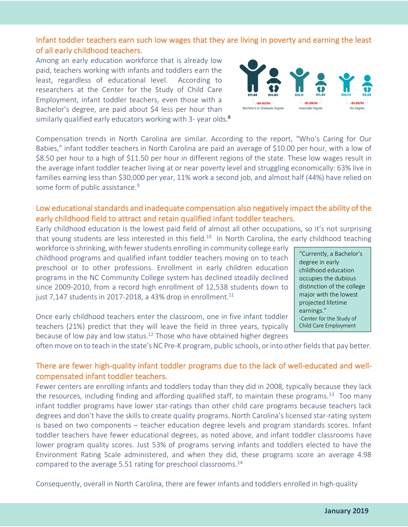Infant toddler teachers earn such low wages that they are living in poverty and earning the least of all early childhood teachers.

Among an early education workforce that is already low paid, teachers working with infants and toddlers earn the least, regardless of educational level. According to researchers at the Center for the Study of Child Care Employment, infant toddler teachers, even those with a Bachelor's degree, are paid about \$4 less per hour than similarly qualified early educators working with 3- year olds.<sup>8</sup>

Compensation trends in North Carolina are similar. According to the report, "Who's Caring for Our Babies," infant toddler teachers in North Carolina are paid an average of \$10.00 per hour, with a low of \$8.50 per hour to a high of \$11.50 per hour in different regions of the state. These low wages result in the average infant toddler teacher living at or near poverty level and struggling economically: 63% live in families earning less than \$30,000 per year, 11% work a second job, and almost half (44%) have relied on some form of public assistance.<sup>9</sup>

#### Low educational standards and inadequate compensation also negatively impact the ability of the early childhood field to attract and retain qualified infant toddler teachers.

Early childhood education is the lowest paid field of almost all other occupations, so it's not surprising that young students are less interested in this field.<sup>10</sup> In North Carolina, the early childhood teaching

workforce is shrinking, with fewer students enrolling in community college early childhood programs and qualified infant toddler teachers moving on to teach preschool or to other professions. Enrollment in early children education programs in the NC Community College system has declined steadily declined since 2009-2010, from a record high enrollment of 12,538 students down to just 7,147 students in 2017-2018, a 43% drop in enrollment.<sup>11</sup>

Once early childhood teachers enter the classroom, one in five infant toddler teachers (21%) predict that they will leave the field in three years, typically because of low pay and low status.<sup>12</sup> Those who have obtained higher degrees

often move on to teach in the state's NC Pre-K program, public schools, or into other fields that pay better.

#### There are fewer high-quality infant toddler programs due to the lack of well-educated and wellcompensated infant toddler teachers.

Fewer centers are enrolling infants and toddlers today than they did in 2008, typically because they lack the resources, including finding and affording qualified staff, to maintain these programs.<sup>13</sup> Too many infant toddler programs have lower star-ratings than other child care programs because teachers lack degrees and don't have the skills to create quality programs. North Carolina's licensed star-rating system is based on two components – teacher education degree levels and program standards scores. Infant toddler teachers have fewer educational degrees, as noted above, and infant toddler classrooms have lower program quality scores. Just 53% of programs serving infants and toddlers elected to have the Environment Rating Scale administered, and when they did, these programs score an average 4.98 compared to the average 5.51 rating for preschool classrooms.<sup>14</sup>

Consequently, overall in North Carolina, there are fewer infants and toddlers enrolled in high-quality



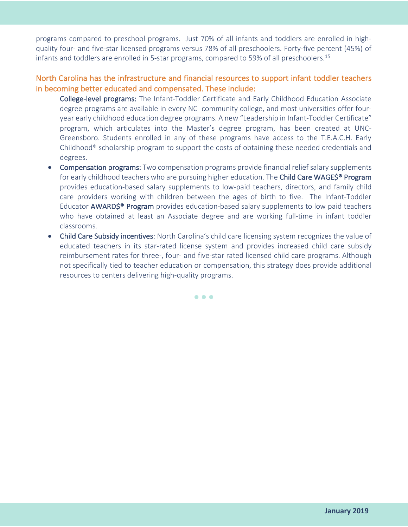programs compared to preschool programs. Just 70% of all infants and toddlers are enrolled in highquality four- and five-star licensed programs versus 78% of all preschoolers. Forty-five percent (45%) of infants and toddlers are enrolled in 5-star programs, compared to 59% of all preschoolers.<sup>15</sup>

#### North Carolina has the infrastructure and financial resources to support infant toddler teachers in becoming better educated and compensated. These include:

- College-level programs: The Infant-Toddler Certificate and Early Childhood Education Associate degree programs are available in every NC community college, and most universities offer fouryear early childhood education degree programs. A new "Leadership in Infant-Toddler Certificate" program, which articulates into the Master's degree program, has been created at UNC-Greensboro. Students enrolled in any of these programs have access to the T.E.A.C.H. Early Childhood® scholarship program to support the costs of obtaining these needed credentials and degrees.
- Compensation programs: Two compensation programs provide financial relief salary supplements for early childhood teachers who are pursuing higher education. The Child Care WAGE\$<sup>®</sup> Program provides education-based salary supplements to low-paid teachers, directors, and family child care providers working with children between the ages of birth to five. The Infant-Toddler Educator **AWARD\$<sup>®</sup> Program** provides education-based salary supplements to low paid teachers who have obtained at least an Associate degree and are working full-time in infant toddler classrooms.
- Child Care Subsidy incentives: North Carolina's child care licensing system recognizes the value of educated teachers in its star-rated license system and provides increased child care subsidy reimbursement rates for three-, four- and five-star rated licensed child care programs. Although not specifically tied to teacher education or compensation, this strategy does provide additional resources to centers delivering high-quality programs.

• • •